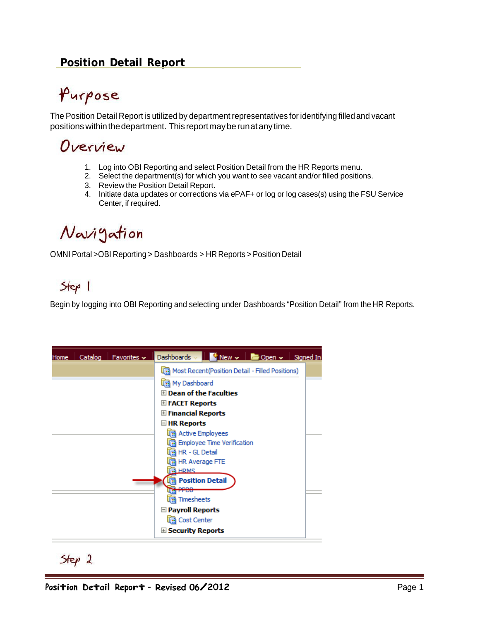### **Position Detail Report**

# Purpose

The Position Detail Report is utilized by department representatives for identifying filledand vacant positions within the department. This report may be run at any time.

## Overview

- 1. Log into OBI Reporting and select Position Detail from the HR Reports menu.
- 2. Select the department(s) for which you want to see vacant and/or filled positions.
- 3. Review the Position Detail Report.
- 4. Initiate data updates or corrections via ePAF+ or log or log cases(s) using the FSU Service Center, if required.

# Navigation

OMNI Portal >OBI Reporting > Dashboards > HR Reports > Position Detail

## $Step 1$

Begin by logging into OBI Reporting and selecting under Dashboards "Position Detail" from the HR Reports.

| Catalog   Favorites $\sim$<br>Home | $\frac{1}{2}$ New $\frac{1}{2}$ Open $\frac{1}{2}$ Signed In<br>Dashboards - |  |
|------------------------------------|------------------------------------------------------------------------------|--|
|                                    | Most Recent(Position Detail - Filled Positions)                              |  |
|                                    | 偏 My Dashboard                                                               |  |
|                                    | $\boxplus$ Dean of the Faculties                                             |  |
|                                    | E FACET Reports                                                              |  |
|                                    | <b>⊞ Financial Reports</b>                                                   |  |
|                                    | $\Box$ HR Reports                                                            |  |
|                                    | in Active Employees                                                          |  |
|                                    | <b>R</b> Employee Time Verification                                          |  |
|                                    | in HR - GL Detail                                                            |  |
|                                    | in HR Average FTE                                                            |  |
|                                    | <b>TRI HRMS</b>                                                              |  |
|                                    | <b>n</b> Position Detail                                                     |  |
|                                    | ---                                                                          |  |
|                                    | Timesheets                                                                   |  |
|                                    | $\Box$ Payroll Reports                                                       |  |
|                                    | 偏 Cost Center                                                                |  |
|                                    | $\mathbb E$ Security Reports                                                 |  |

 $Step 2$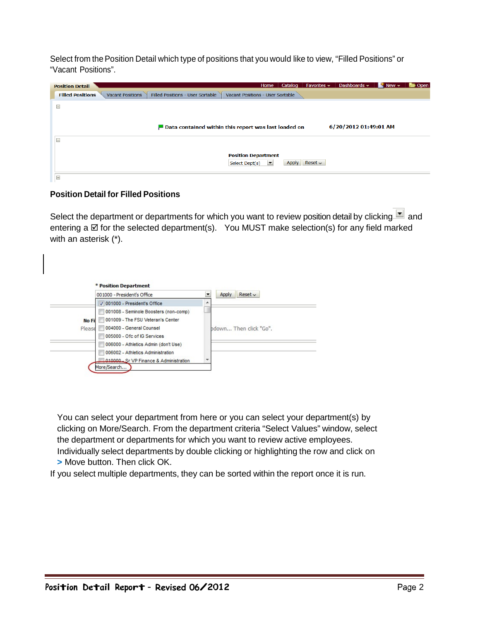Select from the Position Detail which type of positions that you would like to view, "Filled Positions" or "Vacant Positions".

| <b>Position Detail</b>  |                         |                                  | Home                                                                | Catalog | Favorites $\sim$ | Dashboards $\sim$     | $New -$ | <b>Department</b> |
|-------------------------|-------------------------|----------------------------------|---------------------------------------------------------------------|---------|------------------|-----------------------|---------|-------------------|
| <b>Filled Positions</b> | <b>Vacant Positions</b> | Filled Positions - User Sortable | Vacant Positions - User Sortable                                    |         |                  |                       |         |                   |
| $=$                     |                         |                                  |                                                                     |         |                  |                       |         |                   |
|                         |                         |                                  |                                                                     |         |                  |                       |         |                   |
|                         |                         |                                  | $\blacksquare$ Data contained within this report was last loaded on |         |                  | 6/20/2012 01:49:01 AM |         |                   |
| $=$                     |                         |                                  |                                                                     |         |                  |                       |         |                   |
|                         |                         |                                  |                                                                     |         |                  |                       |         |                   |
|                         |                         |                                  | <b>Position Department</b><br>Select Dept(s)<br>≖                   | Apply   | Reset            |                       |         |                   |
|                         |                         |                                  |                                                                     |         |                  |                       |         |                   |
| $\equiv$                |                         |                                  |                                                                     |         |                  |                       |         |                   |

### **Position Detail for Filled Positions**

Select the department or departments for which you want to review position detail by clicking and entering a  $\boxtimes$  for the selected department(s). You MUST make selection(s) for any field marked with an asterisk (\*).

|              | 001000 - President's Office           |   | Apply<br>Reset         |
|--------------|---------------------------------------|---|------------------------|
|              | V 001000 - President's Office         | ▴ |                        |
|              | 001008 - Seminole Boosters (non-comp) |   |                        |
| <b>No Fi</b> | 001009 - The FSU Veteran's Center     |   |                        |
| Please       | 004000 - General Counsel              |   | hdown Then click "Go". |
|              | 005000 - Ofc of IG Services           |   |                        |
|              | 006000 - Athletics Admin (don't Use)  |   |                        |
|              | 006002 - Athletics Administration     |   |                        |
|              | 010000 Sr VP Finance & Administration |   |                        |

You can select your department from here or you can select your department(s) by clicking on More/Search. From the department criteria "Select Values" window, select the department or departments for which you want to review active employees. Individually select departments by double clicking or highlighting the row and click on **>** Move button. Then click OK.

If you select multiple departments, they can be sorted within the report once it is run.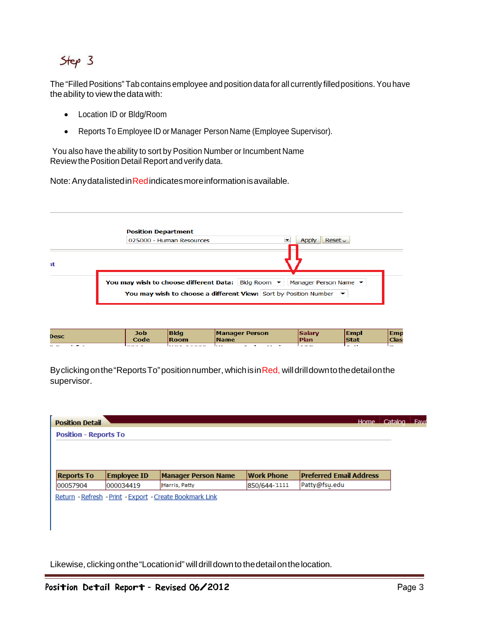## $Step 3$

The "Filled Positions" Tab contains employee and position data for all currently filled positions. You have the ability to view the data with:

- Location ID or Bldg/Room
- Reports To Employee ID or Manager Person Name (Employee Supervisor).

You also have the ability to sort by Position Number or Incumbent Name Review thePosition Detail Report andverify data.

Note: Any data listed in Red indicates more information is available.



| Desc               | Job  | Bldg                 | <b>Manager Person</b> | <b>Salary</b>        | <b>Empl</b> | Emp                      |
|--------------------|------|----------------------|-----------------------|----------------------|-------------|--------------------------|
|                    | Code | <b>Room</b>          | <b>Name</b>           | Plan                 | <b>Stat</b> | <b>Clas</b>              |
| .<br>$\sim$ $\sim$ | .    | $1.008 \times 0.008$ | .                     | $\sim$ $\sim$ $\sim$ | . .         | $\overline{\phantom{a}}$ |

Byclicking on the "Reports To" position number, which is in Red, will drill down to the detail on the supervisor.

|                              |                    |                            |                   | Home                           | Catalog. |
|------------------------------|--------------------|----------------------------|-------------------|--------------------------------|----------|
| <b>Position - Reports To</b> |                    |                            |                   |                                |          |
|                              |                    |                            |                   |                                |          |
|                              |                    |                            |                   |                                |          |
| <b>Reports To</b>            | <b>Employee ID</b> | <b>Manager Person Name</b> | <b>Work Phone</b> | <b>Preferred Email Address</b> |          |
| 00057904                     | 000034419          | Harris, Patty              | 850/644-1111      | Patty@fsu.edu                  |          |

Likewise, clicking onthe"Locationid" willdrilldownto thedetailonthelocation.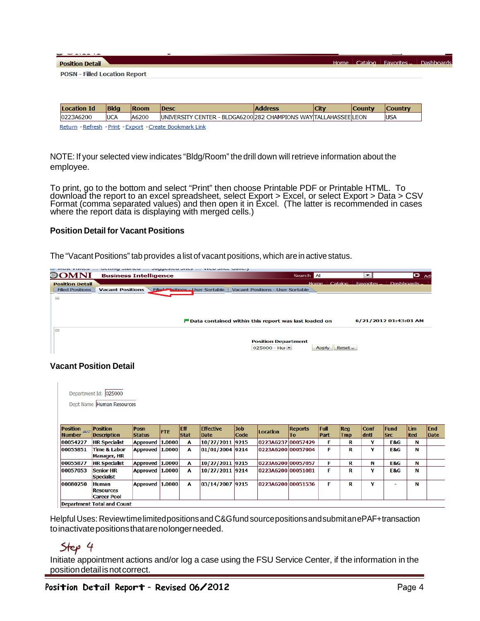| <b>Position Detail</b>               |             |             |                                                                  | Home           | Catalog     | $\perp$ Favorites. | <b>Dashboard</b> |  |
|--------------------------------------|-------------|-------------|------------------------------------------------------------------|----------------|-------------|--------------------|------------------|--|
| <b>POSN - Filled Location Report</b> |             |             |                                                                  |                |             |                    |                  |  |
|                                      |             |             |                                                                  |                |             |                    |                  |  |
|                                      |             |             |                                                                  |                |             |                    |                  |  |
| Location Id                          | <b>Bldg</b> | <b>Room</b> | <b>Desc</b>                                                      | <b>Address</b> | <b>City</b> | <b>County</b>      | <b>Country</b>   |  |
| 0223A6200                            | <b>UCA</b>  | A6200       | UNIVERSITY CENTER - BLDGA6200 282 CHAMPIONS WAY TALLAHASSEE LEON |                |             |                    | <b>USA</b>       |  |

Return - Refresh - Print - Export - Create Bookmark Link

NOTE: If your selected view indicates "Bldg/Room" the drill down will retrieve information about the employee.

To print, go to the bottom and select "Print" then choose Printable PDF or Printable HTML. To download the report to an excel spreadsheet, select Export > Excel, or select Export > Data > CSV Format (comma separated values) and then open it in Excel. (The latter is recommended in cases where the report data is displaying with merged cells.)

#### **Position Detail for Vacant Positions**

The "Vacant Positions" tab provides a list of vacant positions, which are in active status.

|                         | ואוספר גופונמת יוזי מתנתוות ממונמת יוזי מתחלמיפנמת מונמש יוזי באגמת מונמת א |                                                                     |                              |                                 |               |
|-------------------------|-----------------------------------------------------------------------------|---------------------------------------------------------------------|------------------------------|---------------------------------|---------------|
| OMNI                    | <b>Business Intelligence</b>                                                | Search All                                                          |                              | $\overline{\phantom{0}}$        | $\bullet$ Adv |
| <b>Position Detail</b>  |                                                                             |                                                                     | Home<br>Catalog              | Dashboards.<br><b>Favorites</b> |               |
| <b>Filled Positions</b> | Filled Pasitions - User Sortable<br><b>Vacant Positions</b>                 | Vacant Positions - User Sortable                                    |                              |                                 |               |
| $=$                     |                                                                             |                                                                     |                              |                                 |               |
|                         |                                                                             |                                                                     |                              |                                 |               |
|                         |                                                                             |                                                                     |                              |                                 |               |
|                         |                                                                             | $\blacksquare$ Data contained within this report was last loaded on |                              | 6/21/2012 01:43:01 AM           |               |
| $\equiv$                |                                                                             |                                                                     |                              |                                 |               |
|                         |                                                                             |                                                                     |                              |                                 |               |
|                         |                                                                             | <b>Position Department</b>                                          |                              |                                 |               |
|                         |                                                                             | $025000 - Hu =$                                                     | Reset $\sim$<br><b>Apply</b> |                                 |               |

#### **Vacant Position Detail**

|                                | Department Id: 025000<br>Dept Name Human Resources     |                 |            |             |                  |      |                    |                |      |            |             |             |      |            |
|--------------------------------|--------------------------------------------------------|-----------------|------------|-------------|------------------|------|--------------------|----------------|------|------------|-------------|-------------|------|------------|
| Position $\mathbb{A}^{\nabla}$ | <b>Position</b>                                        | Posn            | <b>FTE</b> | <b>Eff</b>  | <b>Effective</b> | Job  | Location           | <b>Reports</b> | Full | <b>Req</b> | <b>Conf</b> | <b>Fund</b> | Lim  | <b>End</b> |
| <b>Number</b>                  | Description                                            | <b>Status</b>   |            | <b>Stat</b> | <b>Date</b>      | Code |                    | To:            | Part | <b>Tmp</b> | dntl        | <b>Src</b>  | ited | Date       |
| 00054227                       | <b>HR Specialist</b>                                   | Approved 1.0000 |            | A           | 10/27/2011 9215  |      | 0223A6237 00057429 |                | F    | R          | Y           | E&G         | N    |            |
| 00055851                       | <b>Time &amp; Labor</b><br><b>Manager, HR</b>          | Approved 1.0000 |            | A           | 01/01/2004 9214  |      | 0223A6200 00057904 |                | F    | R          | Y           | E&G         | N    |            |
| 00055877                       | <b>HR Specialist</b>                                   | Approved 1.0000 |            | A           | 10/27/2011 9215  |      | 0223A6200 00057057 |                | F    | R          | N           | E&G         | N    |            |
| 00057053                       | <b>Senior HR</b><br><b>Specialist</b>                  | Approved 1.0000 |            | A           | 10/27/2011 9214  |      | 0223A6200 00051081 |                | F    | R          | Y           | E&G         | N    |            |
| 00080250                       | <b>Human</b><br><b>Resources</b><br><b>Career Pool</b> | Approved 1.0000 |            | A           | 03/14/2007 9215  |      | 0223A6200 00051536 |                | F    | R          | Y           |             | N    |            |
|                                | <b>Department Total and Count</b>                      |                 |            |             |                  |      |                    |                |      |            |             |             |      |            |

Helpful Uses: ReviewtimelimitedpositionsandC&GfundsourcepositionsandsubmitanePAF+transaction

#### toinactivatepositionsthatarenolongerneeded.

### Step 4

Initiate appointment actions and/or log a case using the FSU Service Center, if the information in the position detail is not correct.